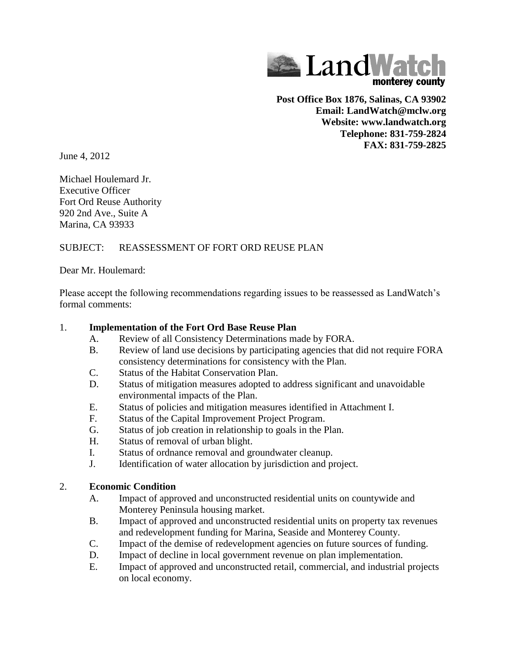

**Post Office Box 1876, Salinas, CA 93902 Email: LandWatch@mclw.org Website: www.landwatch.org Telephone: 831-759-2824 FAX: 831-759-2825**

June 4, 2012

Michael Houlemard Jr. Executive Officer Fort Ord Reuse Authority 920 2nd Ave., Suite A Marina, CA 93933

# SUBJECT: REASSESSMENT OF FORT ORD REUSE PLAN

Dear Mr. Houlemard:

Please accept the following recommendations regarding issues to be reassessed as LandWatch's formal comments:

## 1. **Implementation of the Fort Ord Base Reuse Plan**

- A. Review of all Consistency Determinations made by FORA.
- B. Review of land use decisions by participating agencies that did not require FORA consistency determinations for consistency with the Plan.
- C. Status of the Habitat Conservation Plan.
- D. Status of mitigation measures adopted to address significant and unavoidable environmental impacts of the Plan.
- E. Status of policies and mitigation measures identified in Attachment I.
- F. Status of the Capital Improvement Project Program.
- G. Status of job creation in relationship to goals in the Plan.
- H. Status of removal of urban blight.
- I. Status of ordnance removal and groundwater cleanup.
- J. Identification of water allocation by jurisdiction and project.

## 2. **Economic Condition**

- A. Impact of approved and unconstructed residential units on countywide and Monterey Peninsula housing market.
- B. Impact of approved and unconstructed residential units on property tax revenues and redevelopment funding for Marina, Seaside and Monterey County.
- C. Impact of the demise of redevelopment agencies on future sources of funding.
- D. Impact of decline in local government revenue on plan implementation.
- E. Impact of approved and unconstructed retail, commercial, and industrial projects on local economy.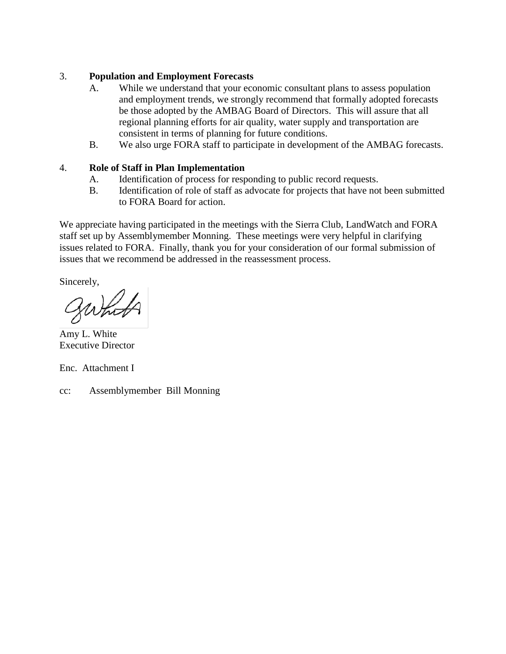## 3. **Population and Employment Forecasts**

- A. While we understand that your economic consultant plans to assess population and employment trends, we strongly recommend that formally adopted forecasts be those adopted by the AMBAG Board of Directors. This will assure that all regional planning efforts for air quality, water supply and transportation are consistent in terms of planning for future conditions.
- B. We also urge FORA staff to participate in development of the AMBAG forecasts.

### 4. **Role of Staff in Plan Implementation**

- A. Identification of process for responding to public record requests.
- B. Identification of role of staff as advocate for projects that have not been submitted to FORA Board for action.

We appreciate having participated in the meetings with the Sierra Club, LandWatch and FORA staff set up by Assemblymember Monning. These meetings were very helpful in clarifying issues related to FORA. Finally, thank you for your consideration of our formal submission of issues that we recommend be addressed in the reassessment process.

Sincerely,

Amy L. White Executive Director

Enc. Attachment I

cc: Assemblymember Bill Monning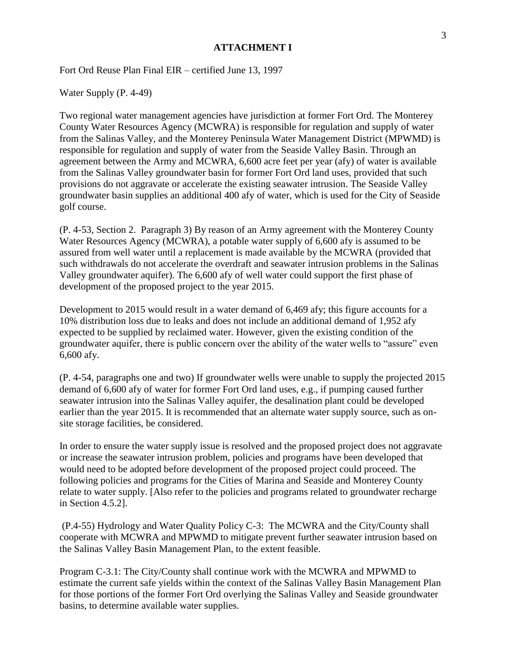### **ATTACHMENT I**

Fort Ord Reuse Plan Final EIR – certified June 13, 1997

Water Supply (P. 4-49)

Two regional water management agencies have jurisdiction at former Fort Ord. The Monterey County Water Resources Agency (MCWRA) is responsible for regulation and supply of water from the Salinas Valley, and the Monterey Peninsula Water Management District (MPWMD) is responsible for regulation and supply of water from the Seaside Valley Basin. Through an agreement between the Army and MCWRA, 6,600 acre feet per year (afy) of water is available from the Salinas Valley groundwater basin for former Fort Ord land uses, provided that such provisions do not aggravate or accelerate the existing seawater intrusion. The Seaside Valley groundwater basin supplies an additional 400 afy of water, which is used for the City of Seaside golf course.

(P. 4-53, Section 2. Paragraph 3) By reason of an Army agreement with the Monterey County Water Resources Agency (MCWRA), a potable water supply of 6,600 afy is assumed to be assured from well water until a replacement is made available by the MCWRA (provided that such withdrawals do not accelerate the overdraft and seawater intrusion problems in the Salinas Valley groundwater aquifer). The 6,600 afy of well water could support the first phase of development of the proposed project to the year 2015.

Development to 2015 would result in a water demand of 6,469 afy; this figure accounts for a 10% distribution loss due to leaks and does not include an additional demand of 1,952 afy expected to be supplied by reclaimed water. However, given the existing condition of the groundwater aquifer, there is public concern over the ability of the water wells to "assure" even 6,600 afy.

(P. 4-54, paragraphs one and two) If groundwater wells were unable to supply the projected 2015 demand of 6,600 afy of water for former Fort Ord land uses, e.g., if pumping caused further seawater intrusion into the Salinas Valley aquifer, the desalination plant could be developed earlier than the year 2015. It is recommended that an alternate water supply source, such as onsite storage facilities, be considered.

In order to ensure the water supply issue is resolved and the proposed project does not aggravate or increase the seawater intrusion problem, policies and programs have been developed that would need to be adopted before development of the proposed project could proceed. The following policies and programs for the Cities of Marina and Seaside and Monterey County relate to water supply. [Also refer to the policies and programs related to groundwater recharge in Section 4.5.2].

(P.4-55) Hydrology and Water Quality Policy C-3: The MCWRA and the City/County shall cooperate with MCWRA and MPWMD to mitigate prevent further seawater intrusion based on the Salinas Valley Basin Management Plan, to the extent feasible.

Program C-3.1: The City/County shall continue work with the MCWRA and MPWMD to estimate the current safe yields within the context of the Salinas Valley Basin Management Plan for those portions of the former Fort Ord overlying the Salinas Valley and Seaside groundwater basins, to determine available water supplies.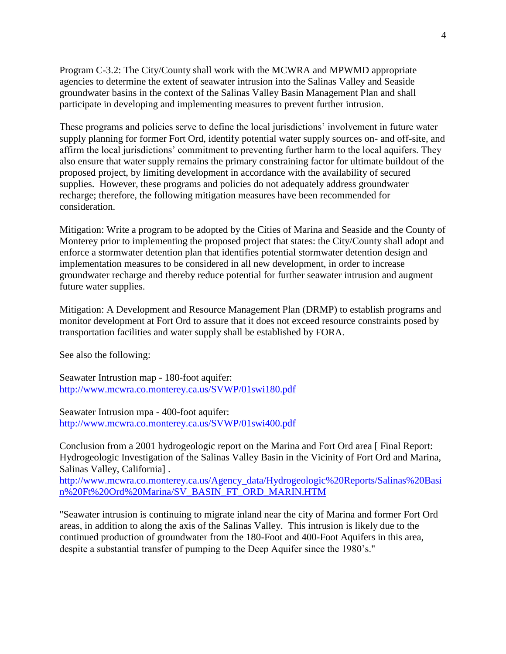Program C-3.2: The City/County shall work with the MCWRA and MPWMD appropriate agencies to determine the extent of seawater intrusion into the Salinas Valley and Seaside groundwater basins in the context of the Salinas Valley Basin Management Plan and shall participate in developing and implementing measures to prevent further intrusion.

These programs and policies serve to define the local jurisdictions' involvement in future water supply planning for former Fort Ord, identify potential water supply sources on- and off-site, and affirm the local jurisdictions' commitment to preventing further harm to the local aquifers. They also ensure that water supply remains the primary constraining factor for ultimate buildout of the proposed project, by limiting development in accordance with the availability of secured supplies. However, these programs and policies do not adequately address groundwater recharge; therefore, the following mitigation measures have been recommended for consideration.

Mitigation: Write a program to be adopted by the Cities of Marina and Seaside and the County of Monterey prior to implementing the proposed project that states: the City/County shall adopt and enforce a stormwater detention plan that identifies potential stormwater detention design and implementation measures to be considered in all new development, in order to increase groundwater recharge and thereby reduce potential for further seawater intrusion and augment future water supplies.

Mitigation: A Development and Resource Management Plan (DRMP) to establish programs and monitor development at Fort Ord to assure that it does not exceed resource constraints posed by transportation facilities and water supply shall be established by FORA.

See also the following:

Seawater Intrustion map - 180-foot aquifer: <http://www.mcwra.co.monterey.ca.us/SVWP/01swi180.pdf>

Seawater Intrusion mpa - 400-foot aquifer: <http://www.mcwra.co.monterey.ca.us/SVWP/01swi400.pdf>

Conclusion from a 2001 hydrogeologic report on the Marina and Fort Ord area [ Final Report: Hydrogeologic Investigation of the Salinas Valley Basin in the Vicinity of Fort Ord and Marina, Salinas Valley, California] .

[http://www.mcwra.co.monterey.ca.us/Agency\\_data/Hydrogeologic%20Reports/Salinas%20Basi](http://www.mcwra.co.monterey.ca.us/Agency_data/Hydrogeologic%20Reports/Salinas%20Basin%20Ft%20Ord%20Marina/SV_BASIN_FT_ORD_MARIN.HTM) [n%20Ft%20Ord%20Marina/SV\\_BASIN\\_FT\\_ORD\\_MARIN.HTM](http://www.mcwra.co.monterey.ca.us/Agency_data/Hydrogeologic%20Reports/Salinas%20Basin%20Ft%20Ord%20Marina/SV_BASIN_FT_ORD_MARIN.HTM)

"Seawater intrusion is continuing to migrate inland near the city of Marina and former Fort Ord areas, in addition to along the axis of the Salinas Valley. This intrusion is likely due to the continued production of groundwater from the 180-Foot and 400-Foot Aquifers in this area, despite a substantial transfer of pumping to the Deep Aquifer since the 1980's."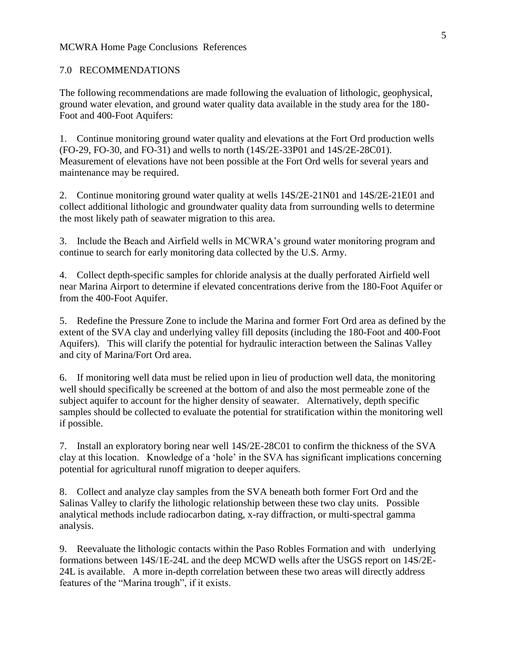### MCWRA Home Page Conclusions References

#### 7.0 RECOMMENDATIONS

The following recommendations are made following the evaluation of lithologic, geophysical, ground water elevation, and ground water quality data available in the study area for the 180- Foot and 400-Foot Aquifers:

1. Continue monitoring ground water quality and elevations at the Fort Ord production wells (FO-29, FO-30, and FO-31) and wells to north (14S/2E-33P01 and 14S/2E-28C01). Measurement of elevations have not been possible at the Fort Ord wells for several years and maintenance may be required.

2. Continue monitoring ground water quality at wells 14S/2E-21N01 and 14S/2E-21E01 and collect additional lithologic and groundwater quality data from surrounding wells to determine the most likely path of seawater migration to this area.

3. Include the Beach and Airfield wells in MCWRA's ground water monitoring program and continue to search for early monitoring data collected by the U.S. Army.

4. Collect depth-specific samples for chloride analysis at the dually perforated Airfield well near Marina Airport to determine if elevated concentrations derive from the 180-Foot Aquifer or from the 400-Foot Aquifer.

5. Redefine the Pressure Zone to include the Marina and former Fort Ord area as defined by the extent of the SVA clay and underlying valley fill deposits (including the 180-Foot and 400-Foot Aquifers). This will clarify the potential for hydraulic interaction between the Salinas Valley and city of Marina/Fort Ord area.

6. If monitoring well data must be relied upon in lieu of production well data, the monitoring well should specifically be screened at the bottom of and also the most permeable zone of the subject aquifer to account for the higher density of seawater. Alternatively, depth specific samples should be collected to evaluate the potential for stratification within the monitoring well if possible.

7. Install an exploratory boring near well 14S/2E-28C01 to confirm the thickness of the SVA clay at this location. Knowledge of a 'hole' in the SVA has significant implications concerning potential for agricultural runoff migration to deeper aquifers.

8. Collect and analyze clay samples from the SVA beneath both former Fort Ord and the Salinas Valley to clarify the lithologic relationship between these two clay units. Possible analytical methods include radiocarbon dating, x-ray diffraction, or multi-spectral gamma analysis.

9. Reevaluate the lithologic contacts within the Paso Robles Formation and with underlying formations between 14S/1E-24L and the deep MCWD wells after the USGS report on 14S/2E-24L is available. A more in-depth correlation between these two areas will directly address features of the "Marina trough", if it exists.